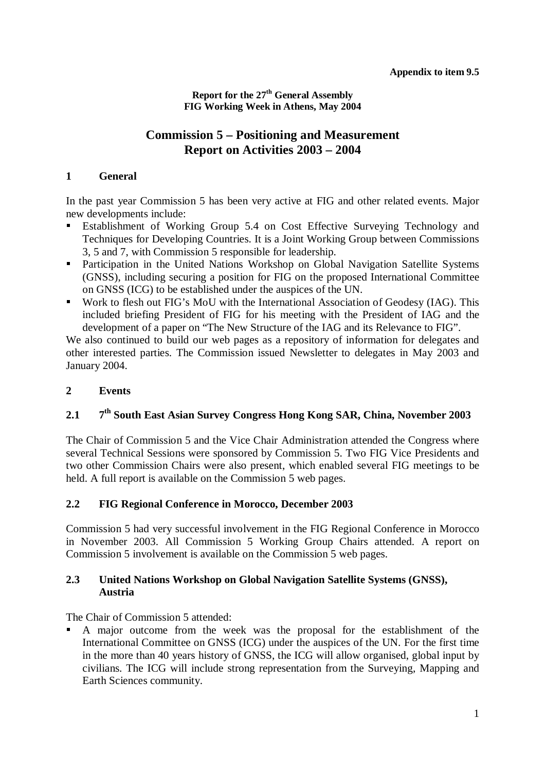**Report for the 27th General Assembly FIG Working Week in Athens, May 2004**

# **Commission 5 – Positioning and Measurement Report on Activities 2003 – 2004**

#### **1 General**

In the past year Commission 5 has been very active at FIG and other related events. Major new developments include:

- Establishment of Working Group 5.4 on Cost Effective Surveying Technology and Techniques for Developing Countries. It is a Joint Working Group between Commissions 3, 5 and 7, with Commission 5 responsible for leadership.
- Participation in the United Nations Workshop on Global Navigation Satellite Systems (GNSS), including securing a position for FIG on the proposed International Committee on GNSS (ICG) to be established under the auspices of the UN.
- Work to flesh out FIG's MoU with the International Association of Geodesy (IAG). This included briefing President of FIG for his meeting with the President of IAG and the development of a paper on "The New Structure of the IAG and its Relevance to FIG".

We also continued to build our web pages as a repository of information for delegates and other interested parties. The Commission issued Newsletter to delegates in May 2003 and January 2004.

### **2 Events**

## **2.1 7th South East Asian Survey Congress Hong Kong SAR, China, November 2003**

The Chair of Commission 5 and the Vice Chair Administration attended the Congress where several Technical Sessions were sponsored by Commission 5. Two FIG Vice Presidents and two other Commission Chairs were also present, which enabled several FIG meetings to be held. A full report is available on the Commission 5 web pages.

#### **2.2 FIG Regional Conference in Morocco, December 2003**

Commission 5 had very successful involvement in the FIG Regional Conference in Morocco in November 2003. All Commission 5 Working Group Chairs attended. A report on Commission 5 involvement is available on the Commission 5 web pages.

#### **2.3 United Nations Workshop on Global Navigation Satellite Systems (GNSS), Austria**

The Chair of Commission 5 attended:

 A major outcome from the week was the proposal for the establishment of the International Committee on GNSS (ICG) under the auspices of the UN. For the first time in the more than 40 years history of GNSS, the ICG will allow organised, global input by civilians. The ICG will include strong representation from the Surveying, Mapping and Earth Sciences community.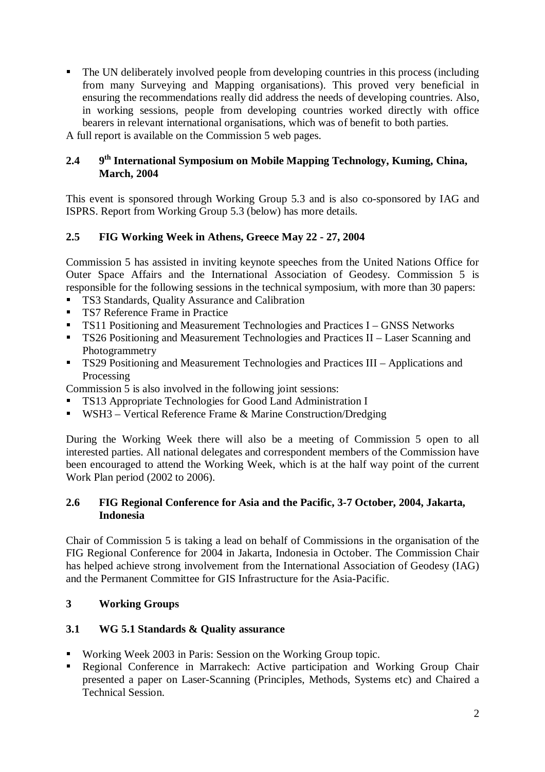The UN deliberately involved people from developing countries in this process (including from many Surveying and Mapping organisations). This proved very beneficial in ensuring the recommendations really did address the needs of developing countries. Also, in working sessions, people from developing countries worked directly with office bearers in relevant international organisations, which was of benefit to both parties. A full report is available on the Commission 5 web pages.

#### **2.4 9th International Symposium on Mobile Mapping Technology, Kuming, China, March, 2004**

This event is sponsored through Working Group 5.3 and is also co-sponsored by IAG and ISPRS. Report from Working Group 5.3 (below) has more details.

### **2.5 FIG Working Week in Athens, Greece May 22 - 27, 2004**

Commission 5 has assisted in inviting keynote speeches from the United Nations Office for Outer Space Affairs and the International Association of Geodesy. Commission 5 is responsible for the following sessions in the technical symposium, with more than 30 papers:

- TS3 Standards, Quality Assurance and Calibration<br>TS7 Reference Frame in Practice
- **TS7 Reference Frame in Practice**<br>TS11 Positioning and Measureme
- TS11 Positioning and Measurement Technologies and Practices I GNSS Networks<br>■ TS26 Positioning and Measurement Technologies and Practices II Laser Scanning:
- TS26 Positioning and Measurement Technologies and Practices II Laser Scanning and Photogrammetry
- **TS29 Positioning and Measurement Technologies and Practices III Applications and** Processing

Commission 5 is also involved in the following joint sessions:

- **TS13 Appropriate Technologies for Good Land Administration I**<br> **WSH3** Vertical Reference Frame & Marine Construction/Dreds
- WSH3 Vertical Reference Frame & Marine Construction/Dredging

During the Working Week there will also be a meeting of Commission 5 open to all interested parties. All national delegates and correspondent members of the Commission have been encouraged to attend the Working Week, which is at the half way point of the current Work Plan period (2002 to 2006).

#### **2.6 FIG Regional Conference for Asia and the Pacific, 3-7 October, 2004, Jakarta, Indonesia**

Chair of Commission 5 is taking a lead on behalf of Commissions in the organisation of the FIG Regional Conference for 2004 in Jakarta, Indonesia in October. The Commission Chair has helped achieve strong involvement from the International Association of Geodesy (IAG) and the Permanent Committee for GIS Infrastructure for the Asia-Pacific.

#### **3 Working Groups**

#### **3.1 WG 5.1 Standards & Quality assurance**

- Working Week 2003 in Paris: Session on the Working Group topic.
- Regional Conference in Marrakech: Active participation and Working Group Chair presented a paper on Laser-Scanning (Principles, Methods, Systems etc) and Chaired a Technical Session.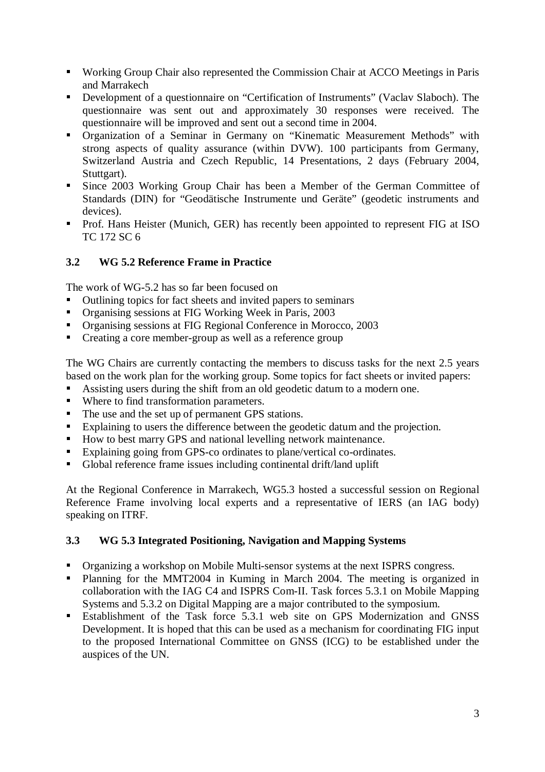- Working Group Chair also represented the Commission Chair at ACCO Meetings in Paris and Marrakech
- Development of a questionnaire on "Certification of Instruments" (Vaclav Slaboch). The questionnaire was sent out and approximately 30 responses were received. The questionnaire will be improved and sent out a second time in 2004.
- Organization of a Seminar in Germany on "Kinematic Measurement Methods" with strong aspects of quality assurance (within DVW). 100 participants from Germany, Switzerland Austria and Czech Republic, 14 Presentations, 2 days (February 2004, Stuttgart).
- Since 2003 Working Group Chair has been a Member of the German Committee of Standards (DIN) for "Geodätische Instrumente und Geräte" (geodetic instruments and devices).
- **Prof. Hans Heister (Munich, GER) has recently been appointed to represent FIG at ISO** TC 172 SC 6

# **3.2 WG 5.2 Reference Frame in Practice**

The work of WG-5.2 has so far been focused on

- Outlining topics for fact sheets and invited papers to seminars
- Organising sessions at FIG Working Week in Paris, 2003
- Organising sessions at FIG Regional Conference in Morocco, 2003
- Creating a core member-group as well as a reference group

The WG Chairs are currently contacting the members to discuss tasks for the next 2.5 years based on the work plan for the working group. Some topics for fact sheets or invited papers:

- Assisting users during the shift from an old geodetic datum to a modern one.<br>Where to find transformation parameters
- Where to find transformation parameters.
- The use and the set up of permanent GPS stations.
- Explaining to users the difference between the geodetic datum and the projection.<br>
How to best marry GPS and national levelling network maintenance.
- How to best marry GPS and national levelling network maintenance.
- Explaining going from GPS-co ordinates to plane/vertical co-ordinates.
- Global reference frame issues including continental drift/land uplift

At the Regional Conference in Marrakech, WG5.3 hosted a successful session on Regional Reference Frame involving local experts and a representative of IERS (an IAG body) speaking on ITRF.

## **3.3 WG 5.3 Integrated Positioning, Navigation and Mapping Systems**

- Organizing a workshop on Mobile Multi-sensor systems at the next ISPRS congress.
- Planning for the MMT2004 in Kuming in March 2004. The meeting is organized in collaboration with the IAG C4 and ISPRS Com-II. Task forces 5.3.1 on Mobile Mapping Systems and 5.3.2 on Digital Mapping are a major contributed to the symposium.
- Establishment of the Task force 5.3.1 web site on GPS Modernization and GNSS Development. It is hoped that this can be used as a mechanism for coordinating FIG input to the proposed International Committee on GNSS (ICG) to be established under the auspices of the UN.